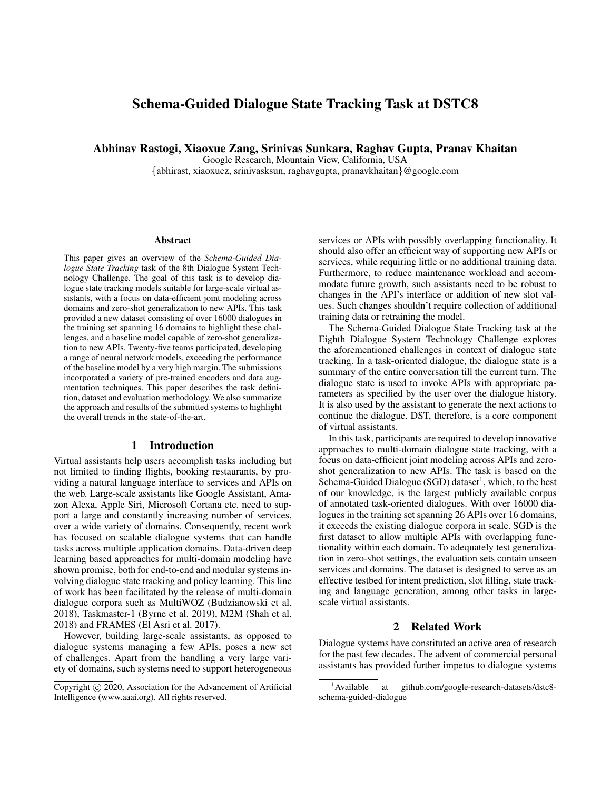# Schema-Guided Dialogue State Tracking Task at DSTC8

Abhinav Rastogi, Xiaoxue Zang, Srinivas Sunkara, Raghav Gupta, Pranav Khaitan

Google Research, Mountain View, California, USA

{abhirast, xiaoxuez, srinivasksun, raghavgupta, pranavkhaitan}@google.com

#### **Abstract**

This paper gives an overview of the *Schema-Guided Dialogue State Tracking* task of the 8th Dialogue System Technology Challenge. The goal of this task is to develop dialogue state tracking models suitable for large-scale virtual assistants, with a focus on data-efficient joint modeling across domains and zero-shot generalization to new APIs. This task provided a new dataset consisting of over 16000 dialogues in the training set spanning 16 domains to highlight these challenges, and a baseline model capable of zero-shot generalization to new APIs. Twenty-five teams participated, developing a range of neural network models, exceeding the performance of the baseline model by a very high margin. The submissions incorporated a variety of pre-trained encoders and data augmentation techniques. This paper describes the task definition, dataset and evaluation methodology. We also summarize the approach and results of the submitted systems to highlight the overall trends in the state-of-the-art.

### 1 Introduction

Virtual assistants help users accomplish tasks including but not limited to finding flights, booking restaurants, by providing a natural language interface to services and APIs on the web. Large-scale assistants like Google Assistant, Amazon Alexa, Apple Siri, Microsoft Cortana etc. need to support a large and constantly increasing number of services, over a wide variety of domains. Consequently, recent work has focused on scalable dialogue systems that can handle tasks across multiple application domains. Data-driven deep learning based approaches for multi-domain modeling have shown promise, both for end-to-end and modular systems involving dialogue state tracking and policy learning. This line of work has been facilitated by the release of multi-domain dialogue corpora such as MultiWOZ (Budzianowski et al. 2018), Taskmaster-1 (Byrne et al. 2019), M2M (Shah et al. 2018) and FRAMES (El Asri et al. 2017).

However, building large-scale assistants, as opposed to dialogue systems managing a few APIs, poses a new set of challenges. Apart from the handling a very large variety of domains, such systems need to support heterogeneous services or APIs with possibly overlapping functionality. It should also offer an efficient way of supporting new APIs or services, while requiring little or no additional training data. Furthermore, to reduce maintenance workload and accommodate future growth, such assistants need to be robust to changes in the API's interface or addition of new slot values. Such changes shouldn't require collection of additional training data or retraining the model.

The Schema-Guided Dialogue State Tracking task at the Eighth Dialogue System Technology Challenge explores the aforementioned challenges in context of dialogue state tracking. In a task-oriented dialogue, the dialogue state is a summary of the entire conversation till the current turn. The dialogue state is used to invoke APIs with appropriate parameters as specified by the user over the dialogue history. It is also used by the assistant to generate the next actions to continue the dialogue. DST, therefore, is a core component of virtual assistants.

In this task, participants are required to develop innovative approaches to multi-domain dialogue state tracking, with a focus on data-efficient joint modeling across APIs and zeroshot generalization to new APIs. The task is based on the Schema-Guided Dialogue (SGD) dataset<sup>1</sup>, which, to the best of our knowledge, is the largest publicly available corpus of annotated task-oriented dialogues. With over 16000 dialogues in the training set spanning 26 APIs over 16 domains, it exceeds the existing dialogue corpora in scale. SGD is the first dataset to allow multiple APIs with overlapping functionality within each domain. To adequately test generalization in zero-shot settings, the evaluation sets contain unseen services and domains. The dataset is designed to serve as an effective testbed for intent prediction, slot filling, state tracking and language generation, among other tasks in largescale virtual assistants.

#### 2 Related Work

Dialogue systems have constituted an active area of research for the past few decades. The advent of commercial personal assistants has provided further impetus to dialogue systems

Copyright (c) 2020, Association for the Advancement of Artificial Intelligence (www.aaai.org). All rights reserved.

<sup>&</sup>lt;sup>1</sup>Available at github.com/google-research-datasets/dstc8schema-guided-dialogue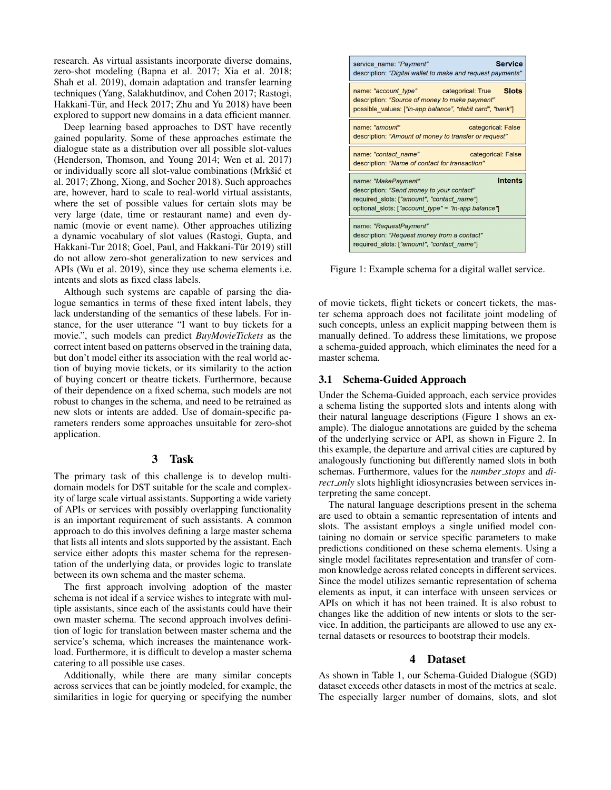research. As virtual assistants incorporate diverse domains, zero-shot modeling (Bapna et al. 2017; Xia et al. 2018; Shah et al. 2019), domain adaptation and transfer learning techniques (Yang, Salakhutdinov, and Cohen 2017; Rastogi, Hakkani-Tür, and Heck 2017; Zhu and Yu 2018) have been explored to support new domains in a data efficient manner.

Deep learning based approaches to DST have recently gained popularity. Some of these approaches estimate the dialogue state as a distribution over all possible slot-values (Henderson, Thomson, and Young 2014; Wen et al. 2017) or individually score all slot-value combinations (Mrkšić et al. 2017; Zhong, Xiong, and Socher 2018). Such approaches are, however, hard to scale to real-world virtual assistants, where the set of possible values for certain slots may be very large (date, time or restaurant name) and even dynamic (movie or event name). Other approaches utilizing a dynamic vocabulary of slot values (Rastogi, Gupta, and Hakkani-Tur 2018; Goel, Paul, and Hakkani-Tür 2019) still do not allow zero-shot generalization to new services and APIs (Wu et al. 2019), since they use schema elements i.e. intents and slots as fixed class labels.

Although such systems are capable of parsing the dialogue semantics in terms of these fixed intent labels, they lack understanding of the semantics of these labels. For instance, for the user utterance "I want to buy tickets for a movie.", such models can predict *BuyMovieTickets* as the correct intent based on patterns observed in the training data, but don't model either its association with the real world action of buying movie tickets, or its similarity to the action of buying concert or theatre tickets. Furthermore, because of their dependence on a fixed schema, such models are not robust to changes in the schema, and need to be retrained as new slots or intents are added. Use of domain-specific parameters renders some approaches unsuitable for zero-shot application.

#### 3 Task

The primary task of this challenge is to develop multidomain models for DST suitable for the scale and complexity of large scale virtual assistants. Supporting a wide variety of APIs or services with possibly overlapping functionality is an important requirement of such assistants. A common approach to do this involves defining a large master schema that lists all intents and slots supported by the assistant. Each service either adopts this master schema for the representation of the underlying data, or provides logic to translate between its own schema and the master schema.

The first approach involving adoption of the master schema is not ideal if a service wishes to integrate with multiple assistants, since each of the assistants could have their own master schema. The second approach involves definition of logic for translation between master schema and the service's schema, which increases the maintenance workload. Furthermore, it is difficult to develop a master schema catering to all possible use cases.

Additionally, while there are many similar concepts across services that can be jointly modeled, for example, the similarities in logic for querying or specifying the number



Figure 1: Example schema for a digital wallet service.

of movie tickets, flight tickets or concert tickets, the master schema approach does not facilitate joint modeling of such concepts, unless an explicit mapping between them is manually defined. To address these limitations, we propose a schema-guided approach, which eliminates the need for a master schema.

### 3.1 Schema-Guided Approach

Under the Schema-Guided approach, each service provides a schema listing the supported slots and intents along with their natural language descriptions (Figure 1 shows an example). The dialogue annotations are guided by the schema of the underlying service or API, as shown in Figure 2. In this example, the departure and arrival cities are captured by analogously functioning but differently named slots in both schemas. Furthermore, values for the *number stops* and *direct only* slots highlight idiosyncrasies between services interpreting the same concept.

The natural language descriptions present in the schema are used to obtain a semantic representation of intents and slots. The assistant employs a single unified model containing no domain or service specific parameters to make predictions conditioned on these schema elements. Using a single model facilitates representation and transfer of common knowledge across related concepts in different services. Since the model utilizes semantic representation of schema elements as input, it can interface with unseen services or APIs on which it has not been trained. It is also robust to changes like the addition of new intents or slots to the service. In addition, the participants are allowed to use any external datasets or resources to bootstrap their models.

#### 4 Dataset

As shown in Table 1, our Schema-Guided Dialogue (SGD) dataset exceeds other datasets in most of the metrics at scale. The especially larger number of domains, slots, and slot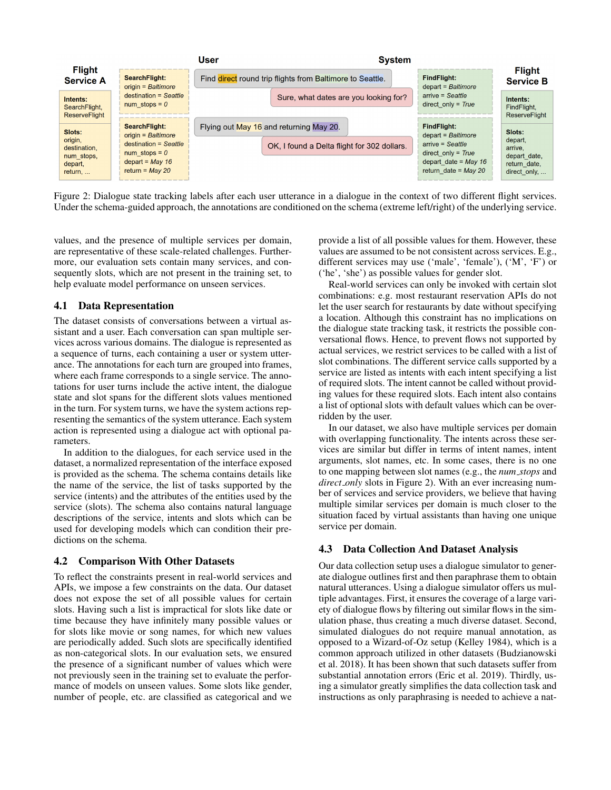

Figure 2: Dialogue state tracking labels after each user utterance in a dialogue in the context of two different flight services. Under the schema-guided approach, the annotations are conditioned on the schema (extreme left/right) of the underlying service.

values, and the presence of multiple services per domain, are representative of these scale-related challenges. Furthermore, our evaluation sets contain many services, and consequently slots, which are not present in the training set, to help evaluate model performance on unseen services.

#### 4.1 Data Representation

The dataset consists of conversations between a virtual assistant and a user. Each conversation can span multiple services across various domains. The dialogue is represented as a sequence of turns, each containing a user or system utterance. The annotations for each turn are grouped into frames, where each frame corresponds to a single service. The annotations for user turns include the active intent, the dialogue state and slot spans for the different slots values mentioned in the turn. For system turns, we have the system actions representing the semantics of the system utterance. Each system action is represented using a dialogue act with optional parameters.

In addition to the dialogues, for each service used in the dataset, a normalized representation of the interface exposed is provided as the schema. The schema contains details like the name of the service, the list of tasks supported by the service (intents) and the attributes of the entities used by the service (slots). The schema also contains natural language descriptions of the service, intents and slots which can be used for developing models which can condition their predictions on the schema.

#### 4.2 Comparison With Other Datasets

To reflect the constraints present in real-world services and APIs, we impose a few constraints on the data. Our dataset does not expose the set of all possible values for certain slots. Having such a list is impractical for slots like date or time because they have infinitely many possible values or for slots like movie or song names, for which new values are periodically added. Such slots are specifically identified as non-categorical slots. In our evaluation sets, we ensured the presence of a significant number of values which were not previously seen in the training set to evaluate the performance of models on unseen values. Some slots like gender, number of people, etc. are classified as categorical and we

provide a list of all possible values for them. However, these values are assumed to be not consistent across services. E.g., different services may use ('male', 'female'), ('M', 'F') or ('he', 'she') as possible values for gender slot.

Real-world services can only be invoked with certain slot combinations: e.g. most restaurant reservation APIs do not let the user search for restaurants by date without specifying a location. Although this constraint has no implications on the dialogue state tracking task, it restricts the possible conversational flows. Hence, to prevent flows not supported by actual services, we restrict services to be called with a list of slot combinations. The different service calls supported by a service are listed as intents with each intent specifying a list of required slots. The intent cannot be called without providing values for these required slots. Each intent also contains a list of optional slots with default values which can be overridden by the user.

In our dataset, we also have multiple services per domain with overlapping functionality. The intents across these services are similar but differ in terms of intent names, intent arguments, slot names, etc. In some cases, there is no one to one mapping between slot names (e.g., the *num stops* and *direct only* slots in Figure 2). With an ever increasing number of services and service providers, we believe that having multiple similar services per domain is much closer to the situation faced by virtual assistants than having one unique service per domain.

#### 4.3 Data Collection And Dataset Analysis

Our data collection setup uses a dialogue simulator to generate dialogue outlines first and then paraphrase them to obtain natural utterances. Using a dialogue simulator offers us multiple advantages. First, it ensures the coverage of a large variety of dialogue flows by filtering out similar flows in the simulation phase, thus creating a much diverse dataset. Second, simulated dialogues do not require manual annotation, as opposed to a Wizard-of-Oz setup (Kelley 1984), which is a common approach utilized in other datasets (Budzianowski et al. 2018). It has been shown that such datasets suffer from substantial annotation errors (Eric et al. 2019). Thirdly, using a simulator greatly simplifies the data collection task and instructions as only paraphrasing is needed to achieve a nat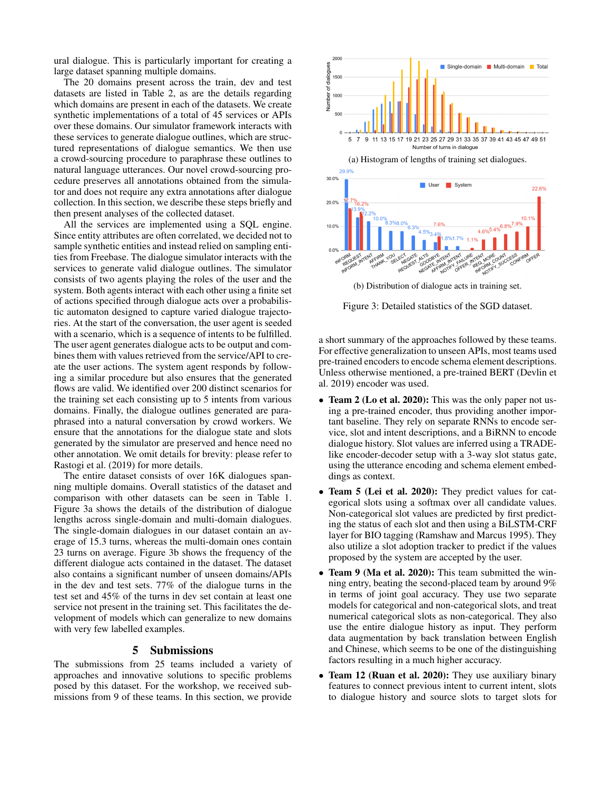ural dialogue. This is particularly important for creating a large dataset spanning multiple domains.

The 20 domains present across the train, dev and test datasets are listed in Table 2, as are the details regarding which domains are present in each of the datasets. We create synthetic implementations of a total of 45 services or APIs over these domains. Our simulator framework interacts with these services to generate dialogue outlines, which are structured representations of dialogue semantics. We then use a crowd-sourcing procedure to paraphrase these outlines to natural language utterances. Our novel crowd-sourcing procedure preserves all annotations obtained from the simulator and does not require any extra annotations after dialogue collection. In this section, we describe these steps briefly and then present analyses of the collected dataset.

All the services are implemented using a SQL engine. Since entity attributes are often correlated, we decided not to sample synthetic entities and instead relied on sampling entities from Freebase. The dialogue simulator interacts with the services to generate valid dialogue outlines. The simulator consists of two agents playing the roles of the user and the system. Both agents interact with each other using a finite set of actions specified through dialogue acts over a probabilistic automaton designed to capture varied dialogue trajectories. At the start of the conversation, the user agent is seeded with a scenario, which is a sequence of intents to be fulfilled. The user agent generates dialogue acts to be output and combines them with values retrieved from the service/API to create the user actions. The system agent responds by following a similar procedure but also ensures that the generated flows are valid. We identified over 200 distinct scenarios for the training set each consisting up to 5 intents from various domains. Finally, the dialogue outlines generated are paraphrased into a natural conversation by crowd workers. We ensure that the annotations for the dialogue state and slots generated by the simulator are preserved and hence need no other annotation. We omit details for brevity: please refer to Rastogi et al. (2019) for more details.

The entire dataset consists of over 16K dialogues spanning multiple domains. Overall statistics of the dataset and comparison with other datasets can be seen in Table 1. Figure 3a shows the details of the distribution of dialogue lengths across single-domain and multi-domain dialogues. The single-domain dialogues in our dataset contain an average of 15.3 turns, whereas the multi-domain ones contain 23 turns on average. Figure 3b shows the frequency of the different dialogue acts contained in the dataset. The dataset also contains a significant number of unseen domains/APIs in the dev and test sets. 77% of the dialogue turns in the test set and 45% of the turns in dev set contain at least one service not present in the training set. This facilitates the development of models which can generalize to new domains with very few labelled examples.

#### 5 Submissions

The submissions from 25 teams included a variety of approaches and innovative solutions to specific problems posed by this dataset. For the workshop, we received submissions from 9 of these teams. In this section, we provide



(b) Distribution of dialogue acts in training set.

Figure 3: Detailed statistics of the SGD dataset.

a short summary of the approaches followed by these teams. For effective generalization to unseen APIs, most teams used pre-trained encoders to encode schema element descriptions. Unless otherwise mentioned, a pre-trained BERT (Devlin et al. 2019) encoder was used.

- Team 2 (Lo et al. 2020): This was the only paper not using a pre-trained encoder, thus providing another important baseline. They rely on separate RNNs to encode service, slot and intent descriptions, and a BiRNN to encode dialogue history. Slot values are inferred using a TRADElike encoder-decoder setup with a 3-way slot status gate, using the utterance encoding and schema element embeddings as context.
- Team 5 (Lei et al. 2020): They predict values for categorical slots using a softmax over all candidate values. Non-categorical slot values are predicted by first predicting the status of each slot and then using a BiLSTM-CRF layer for BIO tagging (Ramshaw and Marcus 1995). They also utilize a slot adoption tracker to predict if the values proposed by the system are accepted by the user.
- Team 9 (Ma et al. 2020): This team submitted the winning entry, beating the second-placed team by around 9% in terms of joint goal accuracy. They use two separate models for categorical and non-categorical slots, and treat numerical categorical slots as non-categorical. They also use the entire dialogue history as input. They perform data augmentation by back translation between English and Chinese, which seems to be one of the distinguishing factors resulting in a much higher accuracy.
- Team 12 (Ruan et al. 2020): They use auxiliary binary features to connect previous intent to current intent, slots to dialogue history and source slots to target slots for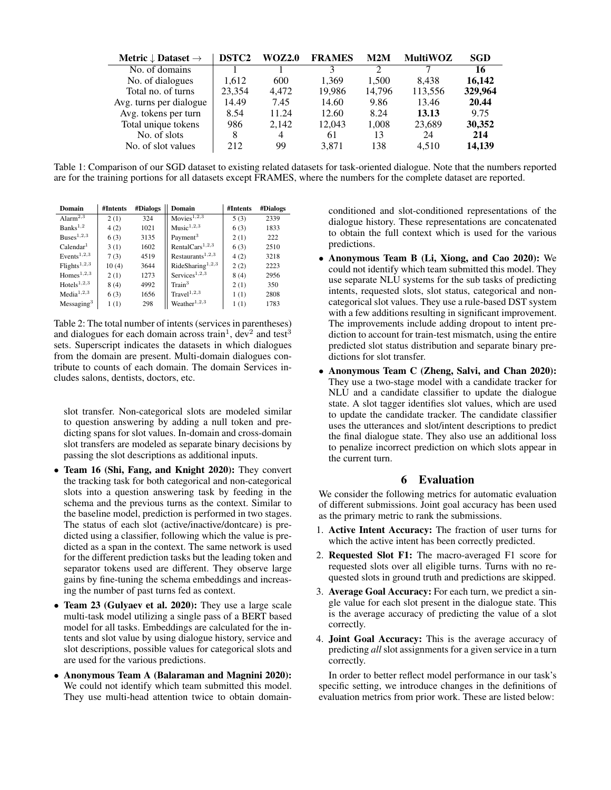| Metric $\downarrow$ Dataset $\rightarrow$ | DSTC <sub>2</sub> | WOZ2.0 | <b>FRAMES</b> | M2M    | <b>MultiWOZ</b> | SGD     |
|-------------------------------------------|-------------------|--------|---------------|--------|-----------------|---------|
| No. of domains                            |                   |        |               | ∍      |                 | 16      |
| No. of dialogues                          | 1.612             | 600    | 1.369         | 1.500  | 8.438           | 16,142  |
| Total no. of turns                        | 23,354            | 4.472  | 19.986        | 14,796 | 113,556         | 329,964 |
| Avg. turns per dialogue                   | 14.49             | 7.45   | 14.60         | 9.86   | 13.46           | 20.44   |
| Avg. tokens per turn                      | 8.54              | 11.24  | 12.60         | 8.24   | 13.13           | 9.75    |
| Total unique tokens                       | 986               | 2.142  | 12,043        | 1.008  | 23,689          | 30,352  |
| No. of slots                              | 8                 | 4      | 61            | 13     | 24              | 214     |
| No. of slot values                        | 212               | 99     | 3.871         | 138    | 4.510           | 14.139  |

Table 1: Comparison of our SGD dataset to existing related datasets for task-oriented dialogue. Note that the numbers reported are for the training portions for all datasets except FRAMES, where the numbers for the complete dataset are reported.

| Domain                               | #Intents | #Dialogs | Domain                       | #Intents | #Dialogs |  |
|--------------------------------------|----------|----------|------------------------------|----------|----------|--|
| Alarm <sup>2,3</sup>                 | 2(1)     | 324      | Movies <sup>1,2,3</sup>      | 5(3)     | 2339     |  |
| Banks <sup>1,2</sup>                 | 4(2)     | 1021     | Music <sup>1,2,3</sup>       | 6(3)     | 1833     |  |
| $Buses^{1,2,3}$                      | 6(3)     | 3135     | Payment <sup>3</sup>         | 2(1)     | 222      |  |
| Calendar <sup>1</sup>                | 3(1)     | 1602     | RentalCars <sup>1,2,3</sup>  | 6(3)     | 2510     |  |
| Events <sup><math>1,2,3</math></sup> | 7(3)     | 4519     | Restaurants <sup>1,2,3</sup> | 4(2)     | 3218     |  |
| ${\rm Flights}^{1,2,3}$              | 10(4)    | 3644     | RideSharing <sup>1,2,3</sup> | 2(2)     | 2223     |  |
| Homes <sup>1,2,3</sup>               | 2(1)     | 1273     | $S$ ervices <sup>1,2,3</sup> | 8(4)     | 2956     |  |
| Hotels <sup>1,2,3</sup>              | 8(4)     | 4992     | Train <sup>3</sup>           | 2(1)     | 350      |  |
| Media <sup>1,2,3</sup>               | 6(3)     | 1656     | Travel <sup>1,2,3</sup>      | 1(1)     | 2808     |  |
| Messageing <sup>3</sup>              | 1(1)     | 298      | Weather <sup>1,2,3</sup>     | 1(1)     | 1783     |  |

Table 2: The total number of intents (services in parentheses) and dialogues for each domain across train<sup>1</sup>, dev<sup>2</sup> and test<sup>3</sup> sets. Superscript indicates the datasets in which dialogues from the domain are present. Multi-domain dialogues contribute to counts of each domain. The domain Services includes salons, dentists, doctors, etc.

slot transfer. Non-categorical slots are modeled similar to question answering by adding a null token and predicting spans for slot values. In-domain and cross-domain slot transfers are modeled as separate binary decisions by passing the slot descriptions as additional inputs.

- Team 16 (Shi, Fang, and Knight 2020): They convert the tracking task for both categorical and non-categorical slots into a question answering task by feeding in the schema and the previous turns as the context. Similar to the baseline model, prediction is performed in two stages. The status of each slot (active/inactive/dontcare) is predicted using a classifier, following which the value is predicted as a span in the context. The same network is used for the different prediction tasks but the leading token and separator tokens used are different. They observe large gains by fine-tuning the schema embeddings and increasing the number of past turns fed as context.
- Team 23 (Gulyaev et al. 2020): They use a large scale multi-task model utilizing a single pass of a BERT based model for all tasks. Embeddings are calculated for the intents and slot value by using dialogue history, service and slot descriptions, possible values for categorical slots and are used for the various predictions.
- Anonymous Team A (Balaraman and Magnini 2020): We could not identify which team submitted this model. They use multi-head attention twice to obtain domain-

conditioned and slot-conditioned representations of the dialogue history. These representations are concatenated to obtain the full context which is used for the various predictions.

- Anonymous Team B (Li, Xiong, and Cao 2020): We could not identify which team submitted this model. They use separate NLU systems for the sub tasks of predicting intents, requested slots, slot status, categorical and noncategorical slot values. They use a rule-based DST system with a few additions resulting in significant improvement. The improvements include adding dropout to intent prediction to account for train-test mismatch, using the entire predicted slot status distribution and separate binary predictions for slot transfer.
- Anonymous Team C (Zheng, Salvi, and Chan 2020): They use a two-stage model with a candidate tracker for NLU and a candidate classifier to update the dialogue state. A slot tagger identifies slot values, which are used to update the candidate tracker. The candidate classifier uses the utterances and slot/intent descriptions to predict the final dialogue state. They also use an additional loss to penalize incorrect prediction on which slots appear in the current turn.

### 6 Evaluation

We consider the following metrics for automatic evaluation of different submissions. Joint goal accuracy has been used as the primary metric to rank the submissions.

- 1. Active Intent Accuracy: The fraction of user turns for which the active intent has been correctly predicted.
- 2. Requested Slot F1: The macro-averaged F1 score for requested slots over all eligible turns. Turns with no requested slots in ground truth and predictions are skipped.
- 3. Average Goal Accuracy: For each turn, we predict a single value for each slot present in the dialogue state. This is the average accuracy of predicting the value of a slot correctly.
- 4. Joint Goal Accuracy: This is the average accuracy of predicting *all* slot assignments for a given service in a turn correctly.

In order to better reflect model performance in our task's specific setting, we introduce changes in the definitions of evaluation metrics from prior work. These are listed below: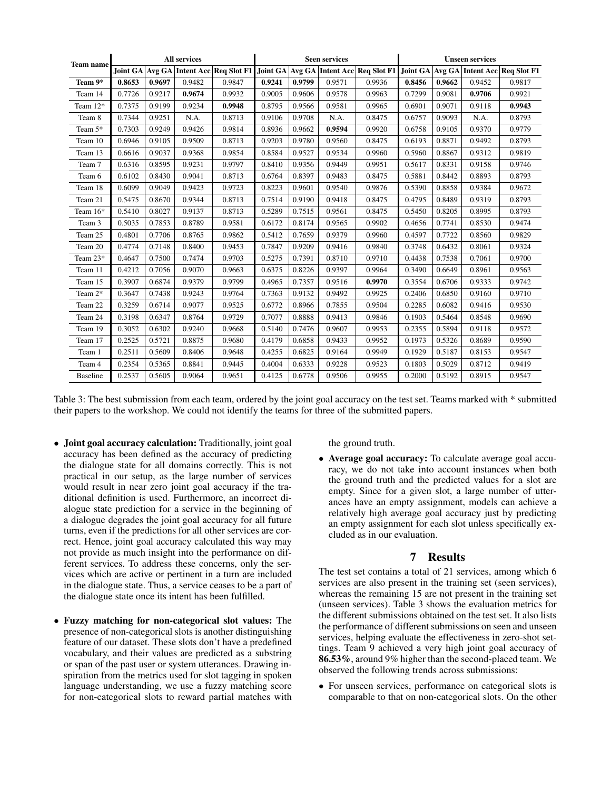| <b>Team name</b> | <b>All services</b> |        |        | <b>Seen services</b> |        |        |        | <b>Unseen services</b>                                                                                               |        |        |        |        |
|------------------|---------------------|--------|--------|----------------------|--------|--------|--------|----------------------------------------------------------------------------------------------------------------------|--------|--------|--------|--------|
|                  |                     |        |        |                      |        |        |        | Joint GA Avg GA Intent Acc Req Slot F1 Joint GA Avg GA Intent Acc Req Slot F1 Joint GA Avg GA Intent Acc Req Slot F1 |        |        |        |        |
| Team 9*          | 0.8653              | 0.9697 | 0.9482 | 0.9847               | 0.9241 | 0.9799 | 0.9571 | 0.9936                                                                                                               | 0.8456 | 0.9662 | 0.9452 | 0.9817 |
| Team 14          | 0.7726              | 0.9217 | 0.9674 | 0.9932               | 0.9005 | 0.9606 | 0.9578 | 0.9963                                                                                                               | 0.7299 | 0.9081 | 0.9706 | 0.9921 |
| Team 12*         | 0.7375              | 0.9199 | 0.9234 | 0.9948               | 0.8795 | 0.9566 | 0.9581 | 0.9965                                                                                                               | 0.6901 | 0.9071 | 0.9118 | 0.9943 |
| Team 8           | 0.7344              | 0.9251 | N.A.   | 0.8713               | 0.9106 | 0.9708 | N.A.   | 0.8475                                                                                                               | 0.6757 | 0.9093 | N.A.   | 0.8793 |
| Team 5*          | 0.7303              | 0.9249 | 0.9426 | 0.9814               | 0.8936 | 0.9662 | 0.9594 | 0.9920                                                                                                               | 0.6758 | 0.9105 | 0.9370 | 0.9779 |
| Team 10          | 0.6946              | 0.9105 | 0.9509 | 0.8713               | 0.9203 | 0.9780 | 0.9560 | 0.8475                                                                                                               | 0.6193 | 0.8871 | 0.9492 | 0.8793 |
| Team 13          | 0.6616              | 0.9037 | 0.9368 | 0.9854               | 0.8584 | 0.9527 | 0.9534 | 0.9960                                                                                                               | 0.5960 | 0.8867 | 0.9312 | 0.9819 |
| Team 7           | 0.6316              | 0.8595 | 0.9231 | 0.9797               | 0.8410 | 0.9356 | 0.9449 | 0.9951                                                                                                               | 0.5617 | 0.8331 | 0.9158 | 0.9746 |
| Team 6           | 0.6102              | 0.8430 | 0.9041 | 0.8713               | 0.6764 | 0.8397 | 0.9483 | 0.8475                                                                                                               | 0.5881 | 0.8442 | 0.8893 | 0.8793 |
| Team 18          | 0.6099              | 0.9049 | 0.9423 | 0.9723               | 0.8223 | 0.9601 | 0.9540 | 0.9876                                                                                                               | 0.5390 | 0.8858 | 0.9384 | 0.9672 |
| Team 21          | 0.5475              | 0.8670 | 0.9344 | 0.8713               | 0.7514 | 0.9190 | 0.9418 | 0.8475                                                                                                               | 0.4795 | 0.8489 | 0.9319 | 0.8793 |
| Team 16*         | 0.5410              | 0.8027 | 0.9137 | 0.8713               | 0.5289 | 0.7515 | 0.9561 | 0.8475                                                                                                               | 0.5450 | 0.8205 | 0.8995 | 0.8793 |
| Team 3           | 0.5035              | 0.7853 | 0.8789 | 0.9581               | 0.6172 | 0.8174 | 0.9565 | 0.9902                                                                                                               | 0.4656 | 0.7741 | 0.8530 | 0.9474 |
| Team 25          | 0.4801              | 0.7706 | 0.8765 | 0.9862               | 0.5412 | 0.7659 | 0.9379 | 0.9960                                                                                                               | 0.4597 | 0.7722 | 0.8560 | 0.9829 |
| Team 20          | 0.4774              | 0.7148 | 0.8400 | 0.9453               | 0.7847 | 0.9209 | 0.9416 | 0.9840                                                                                                               | 0.3748 | 0.6432 | 0.8061 | 0.9324 |
| Team 23*         | 0.4647              | 0.7500 | 0.7474 | 0.9703               | 0.5275 | 0.7391 | 0.8710 | 0.9710                                                                                                               | 0.4438 | 0.7538 | 0.7061 | 0.9700 |
| Team 11          | 0.4212              | 0.7056 | 0.9070 | 0.9663               | 0.6375 | 0.8226 | 0.9397 | 0.9964                                                                                                               | 0.3490 | 0.6649 | 0.8961 | 0.9563 |
| Team 15          | 0.3907              | 0.6874 | 0.9379 | 0.9799               | 0.4965 | 0.7357 | 0.9516 | 0.9970                                                                                                               | 0.3554 | 0.6706 | 0.9333 | 0.9742 |
| Team 2*          | 0.3647              | 0.7438 | 0.9243 | 0.9764               | 0.7363 | 0.9132 | 0.9492 | 0.9925                                                                                                               | 0.2406 | 0.6850 | 0.9160 | 0.9710 |
| Team 22          | 0.3259              | 0.6714 | 0.9077 | 0.9525               | 0.6772 | 0.8966 | 0.7855 | 0.9504                                                                                                               | 0.2285 | 0.6082 | 0.9416 | 0.9530 |
| Team 24          | 0.3198              | 0.6347 | 0.8764 | 0.9729               | 0.7077 | 0.8888 | 0.9413 | 0.9846                                                                                                               | 0.1903 | 0.5464 | 0.8548 | 0.9690 |
| Team 19          | 0.3052              | 0.6302 | 0.9240 | 0.9668               | 0.5140 | 0.7476 | 0.9607 | 0.9953                                                                                                               | 0.2355 | 0.5894 | 0.9118 | 0.9572 |
| Team 17          | 0.2525              | 0.5721 | 0.8875 | 0.9680               | 0.4179 | 0.6858 | 0.9433 | 0.9952                                                                                                               | 0.1973 | 0.5326 | 0.8689 | 0.9590 |
| Team 1           | 0.2511              | 0.5609 | 0.8406 | 0.9648               | 0.4255 | 0.6825 | 0.9164 | 0.9949                                                                                                               | 0.1929 | 0.5187 | 0.8153 | 0.9547 |
| Team 4           | 0.2354              | 0.5365 | 0.8841 | 0.9445               | 0.4004 | 0.6333 | 0.9228 | 0.9523                                                                                                               | 0.1803 | 0.5029 | 0.8712 | 0.9419 |
| <b>Baseline</b>  | 0.2537              | 0.5605 | 0.9064 | 0.9651               | 0.4125 | 0.6778 | 0.9506 | 0.9955                                                                                                               | 0.2000 | 0.5192 | 0.8915 | 0.9547 |

Table 3: The best submission from each team, ordered by the joint goal accuracy on the test set. Teams marked with \* submitted their papers to the workshop. We could not identify the teams for three of the submitted papers.

- Joint goal accuracy calculation: Traditionally, joint goal accuracy has been defined as the accuracy of predicting the dialogue state for all domains correctly. This is not practical in our setup, as the large number of services would result in near zero joint goal accuracy if the traditional definition is used. Furthermore, an incorrect dialogue state prediction for a service in the beginning of a dialogue degrades the joint goal accuracy for all future turns, even if the predictions for all other services are correct. Hence, joint goal accuracy calculated this way may not provide as much insight into the performance on different services. To address these concerns, only the services which are active or pertinent in a turn are included in the dialogue state. Thus, a service ceases to be a part of the dialogue state once its intent has been fulfilled.
- Fuzzy matching for non-categorical slot values: The presence of non-categorical slots is another distinguishing feature of our dataset. These slots don't have a predefined vocabulary, and their values are predicted as a substring or span of the past user or system utterances. Drawing inspiration from the metrics used for slot tagging in spoken language understanding, we use a fuzzy matching score for non-categorical slots to reward partial matches with

the ground truth.

• Average goal accuracy: To calculate average goal accuracy, we do not take into account instances when both the ground truth and the predicted values for a slot are empty. Since for a given slot, a large number of utterances have an empty assignment, models can achieve a relatively high average goal accuracy just by predicting an empty assignment for each slot unless specifically excluded as in our evaluation.

### 7 Results

The test set contains a total of 21 services, among which 6 services are also present in the training set (seen services), whereas the remaining 15 are not present in the training set (unseen services). Table 3 shows the evaluation metrics for the different submissions obtained on the test set. It also lists the performance of different submissions on seen and unseen services, helping evaluate the effectiveness in zero-shot settings. Team 9 achieved a very high joint goal accuracy of 86.53%, around 9% higher than the second-placed team. We observed the following trends across submissions:

• For unseen services, performance on categorical slots is comparable to that on non-categorical slots. On the other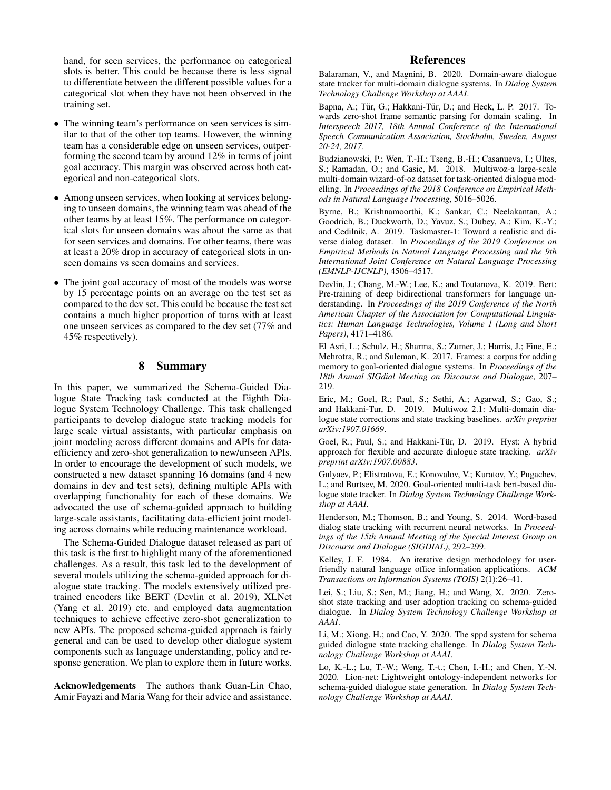hand, for seen services, the performance on categorical slots is better. This could be because there is less signal to differentiate between the different possible values for a categorical slot when they have not been observed in the training set.

- The winning team's performance on seen services is similar to that of the other top teams. However, the winning team has a considerable edge on unseen services, outperforming the second team by around 12% in terms of joint goal accuracy. This margin was observed across both categorical and non-categorical slots.
- Among unseen services, when looking at services belonging to unseen domains, the winning team was ahead of the other teams by at least 15%. The performance on categorical slots for unseen domains was about the same as that for seen services and domains. For other teams, there was at least a 20% drop in accuracy of categorical slots in unseen domains vs seen domains and services.
- The joint goal accuracy of most of the models was worse by 15 percentage points on an average on the test set as compared to the dev set. This could be because the test set contains a much higher proportion of turns with at least one unseen services as compared to the dev set (77% and 45% respectively).

## 8 Summary

In this paper, we summarized the Schema-Guided Dialogue State Tracking task conducted at the Eighth Dialogue System Technology Challenge. This task challenged participants to develop dialogue state tracking models for large scale virtual assistants, with particular emphasis on joint modeling across different domains and APIs for dataefficiency and zero-shot generalization to new/unseen APIs. In order to encourage the development of such models, we constructed a new dataset spanning 16 domains (and 4 new domains in dev and test sets), defining multiple APIs with overlapping functionality for each of these domains. We advocated the use of schema-guided approach to building large-scale assistants, facilitating data-efficient joint modeling across domains while reducing maintenance workload.

The Schema-Guided Dialogue dataset released as part of this task is the first to highlight many of the aforementioned challenges. As a result, this task led to the development of several models utilizing the schema-guided approach for dialogue state tracking. The models extensively utilized pretrained encoders like BERT (Devlin et al. 2019), XLNet (Yang et al. 2019) etc. and employed data augmentation techniques to achieve effective zero-shot generalization to new APIs. The proposed schema-guided approach is fairly general and can be used to develop other dialogue system components such as language understanding, policy and response generation. We plan to explore them in future works.

Acknowledgements The authors thank Guan-Lin Chao, Amir Fayazi and Maria Wang for their advice and assistance.

### References

Balaraman, V., and Magnini, B. 2020. Domain-aware dialogue state tracker for multi-domain dialogue systems. In *Dialog System Technology Challenge Workshop at AAAI*.

Bapna, A.; Tür, G.; Hakkani-Tür, D.; and Heck, L. P. 2017. Towards zero-shot frame semantic parsing for domain scaling. In *Interspeech 2017, 18th Annual Conference of the International Speech Communication Association, Stockholm, Sweden, August 20-24, 2017*.

Budzianowski, P.; Wen, T.-H.; Tseng, B.-H.; Casanueva, I.; Ultes, S.; Ramadan, O.; and Gasic, M. 2018. Multiwoz-a large-scale multi-domain wizard-of-oz dataset for task-oriented dialogue modelling. In *Proceedings of the 2018 Conference on Empirical Methods in Natural Language Processing*, 5016–5026.

Byrne, B.; Krishnamoorthi, K.; Sankar, C.; Neelakantan, A.; Goodrich, B.; Duckworth, D.; Yavuz, S.; Dubey, A.; Kim, K.-Y.; and Cedilnik, A. 2019. Taskmaster-1: Toward a realistic and diverse dialog dataset. In *Proceedings of the 2019 Conference on Empirical Methods in Natural Language Processing and the 9th International Joint Conference on Natural Language Processing (EMNLP-IJCNLP)*, 4506–4517.

Devlin, J.; Chang, M.-W.; Lee, K.; and Toutanova, K. 2019. Bert: Pre-training of deep bidirectional transformers for language understanding. In *Proceedings of the 2019 Conference of the North American Chapter of the Association for Computational Linguistics: Human Language Technologies, Volume 1 (Long and Short Papers)*, 4171–4186.

El Asri, L.; Schulz, H.; Sharma, S.; Zumer, J.; Harris, J.; Fine, E.; Mehrotra, R.; and Suleman, K. 2017. Frames: a corpus for adding memory to goal-oriented dialogue systems. In *Proceedings of the 18th Annual SIGdial Meeting on Discourse and Dialogue*, 207– 219.

Eric, M.; Goel, R.; Paul, S.; Sethi, A.; Agarwal, S.; Gao, S.; and Hakkani-Tur, D. 2019. Multiwoz 2.1: Multi-domain dialogue state corrections and state tracking baselines. *arXiv preprint arXiv:1907.01669*.

Goel, R.; Paul, S.; and Hakkani-Tür, D. 2019. Hyst: A hybrid approach for flexible and accurate dialogue state tracking. *arXiv preprint arXiv:1907.00883*.

Gulyaev, P.; Elistratova, E.; Konovalov, V.; Kuratov, Y.; Pugachev, L.; and Burtsev, M. 2020. Goal-oriented multi-task bert-based dialogue state tracker. In *Dialog System Technology Challenge Workshop at AAAI*.

Henderson, M.; Thomson, B.; and Young, S. 2014. Word-based dialog state tracking with recurrent neural networks. In *Proceedings of the 15th Annual Meeting of the Special Interest Group on Discourse and Dialogue (SIGDIAL)*, 292–299.

Kelley, J. F. 1984. An iterative design methodology for userfriendly natural language office information applications. *ACM Transactions on Information Systems (TOIS)* 2(1):26–41.

Lei, S.; Liu, S.; Sen, M.; Jiang, H.; and Wang, X. 2020. Zeroshot state tracking and user adoption tracking on schema-guided dialogue. In *Dialog System Technology Challenge Workshop at AAAI*.

Li, M.; Xiong, H.; and Cao, Y. 2020. The sppd system for schema guided dialogue state tracking challenge. In *Dialog System Technology Challenge Workshop at AAAI*.

Lo, K.-L.; Lu, T.-W.; Weng, T.-t.; Chen, I.-H.; and Chen, Y.-N. 2020. Lion-net: Lightweight ontology-independent networks for schema-guided dialogue state generation. In *Dialog System Technology Challenge Workshop at AAAI*.